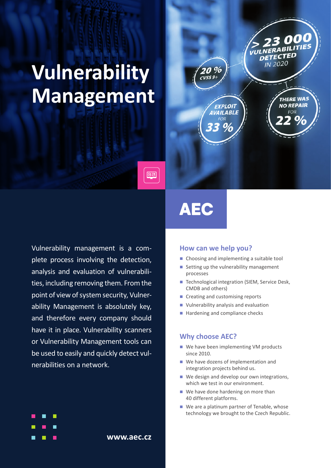# **Vulnerability Management**



# **AEC**

लिब्ध

Vulnerability management is a complete process involving the detection, analysis and evaluation of vulnerabilities, including removing them. From the point of view of system security, Vulnerability Management is absolutely key, and therefore every company should have it in place. Vulnerability scanners or Vulnerability Management tools can be used to easily and quickly detect vulnerabilities on a network.

**www.aec.cz**

#### **How can we help you?**

- Choosing and implementing a suitable tool
- Setting up the vulnerability management processes
- Technological integration (SIEM, Service Desk, CMDB and others)
- Creating and customising reports
- **Vulnerability analysis and evaluation**
- Hardening and compliance checks

#### **Why choose AEC?**

- We have been implementing VM products since 2010.
- We have dozens of implementation and integration projects behind us.
- We design and develop our own integrations, which we test in our environment.
- We have done hardening on more than 40 different platforms.
- We are a platinum partner of Tenable, whose technology we brought to the Czech Republic.